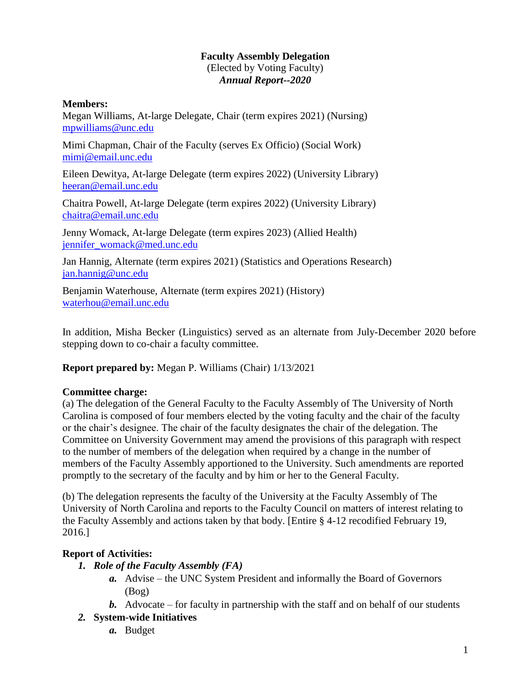#### **Faculty Assembly Delegation** (Elected by Voting Faculty) *Annual Report--2020*

#### **Members:**

Megan Williams, At-large Delegate, Chair (term expires 2021) (Nursing) [mpwilliams@unc.edu](mailto:mpwilliams@unc.edu)

Mimi Chapman, Chair of the Faculty (serves Ex Officio) (Social Work) [mimi@email.unc.edu](mailto:mimi@email.unc.edu)

Eileen Dewitya, At-large Delegate (term expires 2022) (University Library) [heeran@email.unc.edu](mailto:heeran@email.unc.edu)

Chaitra Powell, At-large Delegate (term expires 2022) (University Library) [chaitra@email.unc.edu](mailto:chaitra@email.unc.edu)

Jenny Womack, At-large Delegate (term expires 2023) (Allied Health) [jennifer\\_womack@med.unc.edu](mailto:jennifer_womack@med.unc.edu)

Jan Hannig, Alternate (term expires 2021) (Statistics and Operations Research) [jan.hannig@unc.edu](mailto:jan.hannig@unc.edu)

Benjamin Waterhouse, Alternate (term expires 2021) (History) [waterhou@email.unc.edu](mailto:waterhou@email.unc.edu)

In addition, Misha Becker (Linguistics) served as an alternate from July-December 2020 before stepping down to co-chair a faculty committee.

**Report prepared by:** Megan P. Williams (Chair) 1/13/2021

## **Committee charge:**

(a) The delegation of the General Faculty to the Faculty Assembly of The University of North Carolina is composed of four members elected by the voting faculty and the chair of the faculty or the chair's designee. The chair of the faculty designates the chair of the delegation. The Committee on University Government may amend the provisions of this paragraph with respect to the number of members of the delegation when required by a change in the number of members of the Faculty Assembly apportioned to the University. Such amendments are reported promptly to the secretary of the faculty and by him or her to the General Faculty.

(b) The delegation represents the faculty of the University at the Faculty Assembly of The University of North Carolina and reports to the Faculty Council on matters of interest relating to the Faculty Assembly and actions taken by that body. [Entire § 4-12 recodified February 19, 2016.]

# **Report of Activities:**

- *1. Role of the Faculty Assembly (FA)*
	- *a.* Advise the UNC System President and informally the Board of Governors (Bog)
	- *b.* Advocate for faculty in partnership with the staff and on behalf of our students
- *2.* **System-wide Initiatives**
	- *a.* Budget